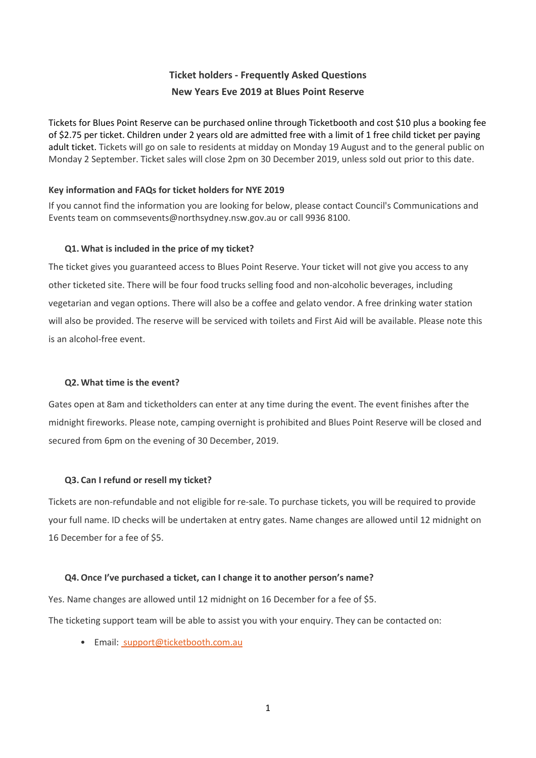# **Ticket holders - Frequently Asked Questions New Years Eve 2019 at Blues Point Reserve**

Tickets for Blues Point Reserve can be purchased online through Ticketbooth and cost \$10 plus a booking fee of \$2.75 per ticket. Children under 2 years old are admitted free with a limit of 1 free child ticket per paying adult ticket. Tickets will go on sale to residents at midday on Monday 19 August and to the general public on Monday 2 September. Ticket sales will close 2pm on 30 December 2019, unless sold out prior to this date.

# **Key information and FAQs for ticket holders for NYE 2019**

If you cannot find the information you are looking for below, please contact Council's Communications and Events team on commsevents@northsydney.nsw.gov.au or call 9936 8100.

# **Q1. What is included in the price of my ticket?**

The ticket gives you guaranteed access to Blues Point Reserve. Your ticket will not give you access to any other ticketed site. There will be four food trucks selling food and non-alcoholic beverages, including vegetarian and vegan options. There will also be a coffee and gelato vendor. A free drinking water station will also be provided. The reserve will be serviced with toilets and First Aid will be available. Please note this is an alcohol-free event.

# **Q2. What time is the event?**

Gates open at 8am and ticketholders can enter at any time during the event. The event finishes after the midnight fireworks. Please note, camping overnight is prohibited and Blues Point Reserve will be closed and secured from 6pm on the evening of 30 December, 2019.

# **Q3. Can I refund or resell my ticket?**

Tickets are non-refundable and not eligible for re-sale. To purchase tickets, you will be required to provide your full name. ID checks will be undertaken at entry gates. Name changes are allowed until 12 midnight on 16 December for a fee of \$5.

# **Q4.Once I've purchased a ticket, can I change it to another person's name?**

Yes. Name changes are allowed until 12 midnight on 16 December for a fee of \$5.

The ticketing support team will be able to assist you with your enquiry. They can be contacted on:

• Email: [support@ticketbooth.com.au](mailto:%C2%A0support@ticketbooth.com.au)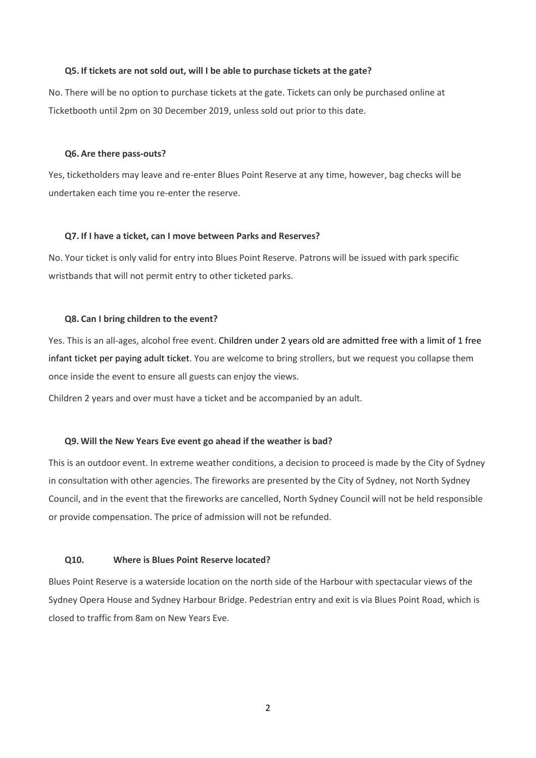#### **Q5. If tickets are not sold out, will I be able to purchase tickets at the gate?**

No. There will be no option to purchase tickets at the gate. Tickets can only be purchased online at Ticketbooth until 2pm on 30 December 2019, unless sold out prior to this date.

#### **Q6. Are there pass-outs?**

Yes, ticketholders may leave and re-enter Blues Point Reserve at any time, however, bag checks will be undertaken each time you re-enter the reserve.

#### **Q7. If I have a ticket, can I move between Parks and Reserves?**

No. Your ticket is only valid for entry into Blues Point Reserve. Patrons will be issued with park specific wristbands that will not permit entry to other ticketed parks.

#### **Q8. Can I bring children to the event?**

Yes. This is an all-ages, alcohol free event. Children under 2 years old are admitted free with a limit of 1 free infant ticket per paying adult ticket. You are welcome to bring strollers, but we request you collapse them once inside the event to ensure all guests can enjoy the views.

Children 2 years and over must have a ticket and be accompanied by an adult.

#### **Q9.Will the New Years Eve event go ahead if the weather is bad?**

This is an outdoor event. In extreme weather conditions, a decision to proceed is made by the City of Sydney in consultation with other agencies. The fireworks are presented by the City of Sydney, not North Sydney Council, and in the event that the fireworks are cancelled, North Sydney Council will not be held responsible or provide compensation. The price of admission will not be refunded.

#### **Q10. Where is Blues Point Reserve located?**

Blues Point Reserve is a waterside location on the north side of the Harbour with spectacular views of the Sydney Opera House and Sydney Harbour Bridge. Pedestrian entry and exit is via Blues Point Road, which is closed to traffic from 8am on New Years Eve.

2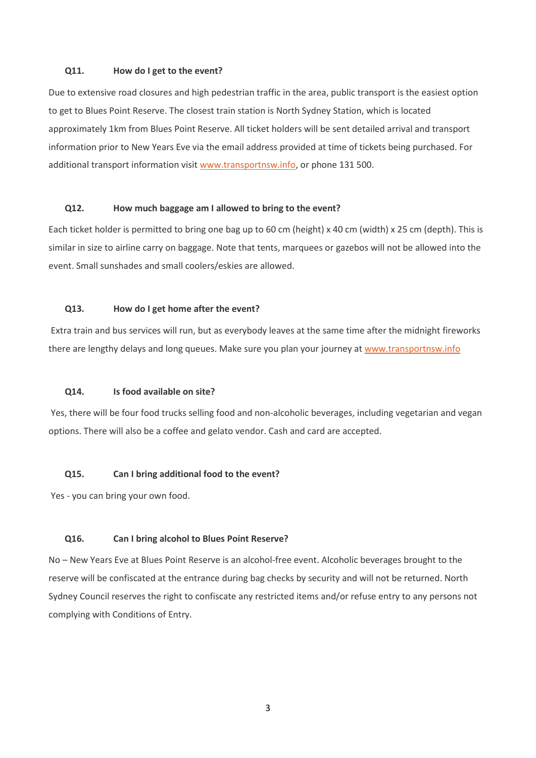#### **Q11. How do I get to the event?**

Due to extensive road closures and high pedestrian traffic in the area, public transport is the easiest option to get to Blues Point Reserve. The closest train station is North Sydney Station, which is located approximately 1km from Blues Point Reserve. All ticket holders will be sent detailed arrival and transport information prior to New Years Eve via the email address provided at time of tickets being purchased. For additional transport information visit [www.transportnsw.info,](http://intranetadmin.northsydney.nsw.gov.au/SCControls/www.transportnsw.info) or phone 131 500.

### **Q12. How much baggage am I allowed to bring to the event?**

Each ticket holder is permitted to bring one bag up to 60 cm (height) x 40 cm (width) x 25 cm (depth). This is similar in size to airline carry on baggage. Note that tents, marquees or gazebos will not be allowed into the event. Small sunshades and small coolers/eskies are allowed.

#### **Q13. How do I get home after the event?**

Extra train and bus services will run, but as everybody leaves at the same time after the midnight fireworks there are lengthy delays and long queues. Make sure you plan your journey at [www.transportnsw.info](http://intranetadmin.northsydney.nsw.gov.au/SCControls/www.transportnsw.info)

#### **Q14. Is food available on site?**

Yes, there will be four food trucks selling food and non-alcoholic beverages, including vegetarian and vegan options. There will also be a coffee and gelato vendor. Cash and card are accepted.

#### **Q15. Can I bring additional food to the event?**

Yes - you can bring your own food.

# **Q16. Can I bring alcohol to Blues Point Reserve?**

No – New Years Eve at Blues Point Reserve is an alcohol-free event. Alcoholic beverages brought to the reserve will be confiscated at the entrance during bag checks by security and will not be returned. North Sydney Council reserves the right to confiscate any restricted items and/or refuse entry to any persons not complying with Conditions of Entry.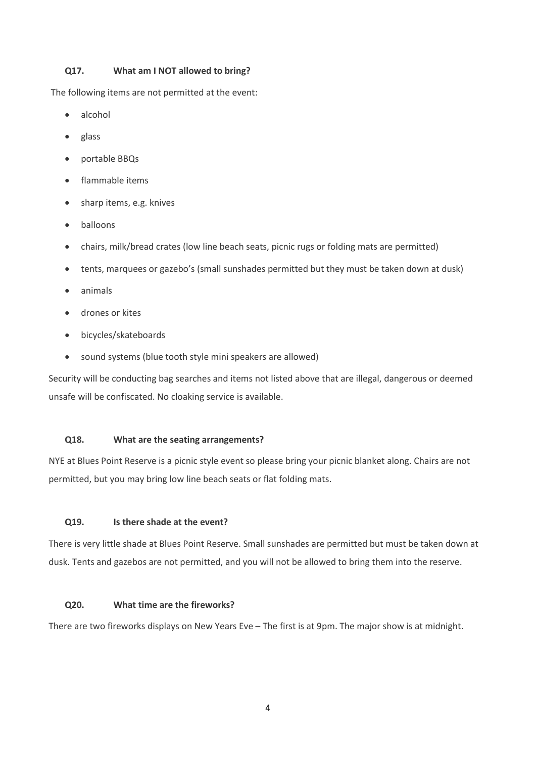# **Q17. What am I NOT allowed to bring?**

The following items are not permitted at the event:

- alcohol
- glass
- portable BBQs
- flammable items
- sharp items, e.g. knives
- balloons
- chairs, milk/bread crates (low line beach seats, picnic rugs or folding mats are permitted)
- tents, marquees or gazebo's (small sunshades permitted but they must be taken down at dusk)
- animals
- drones or kites
- bicycles/skateboards
- sound systems (blue tooth style mini speakers are allowed)

Security will be conducting bag searches and items not listed above that are illegal, dangerous or deemed unsafe will be confiscated. No cloaking service is available.

# **Q18. What are the seating arrangements?**

NYE at Blues Point Reserve is a picnic style event so please bring your picnic blanket along. Chairs are not permitted, but you may bring low line beach seats or flat folding mats.

# **Q19. Is there shade at the event?**

There is very little shade at Blues Point Reserve. Small sunshades are permitted but must be taken down at dusk. Tents and gazebos are not permitted, and you will not be allowed to bring them into the reserve.

# **Q20. What time are the fireworks?**

There are two fireworks displays on New Years Eve – The first is at 9pm. The major show is at midnight.